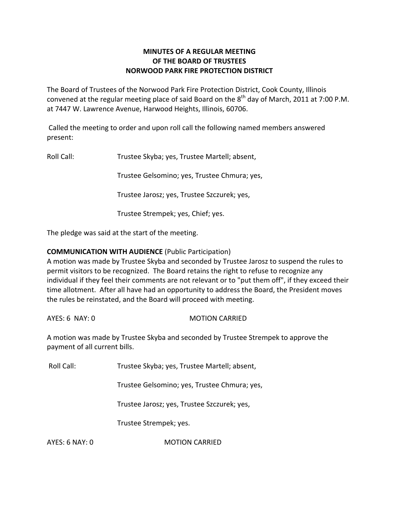## **MINUTES OF A REGULAR MEETING OF THE BOARD OF TRUSTEES NORWOOD PARK FIRE PROTECTION DISTRICT**

The Board of Trustees of the Norwood Park Fire Protection District, Cook County, Illinois convened at the regular meeting place of said Board on the  $8^{\text{th}}$  day of March, 2011 at 7:00 P.M. at 7447 W. Lawrence Avenue, Harwood Heights, Illinois, 60706.

Called the meeting to order and upon roll call the following named members answered present:

Roll Call: Trustee Skyba; yes, Trustee Martell; absent,

Trustee Gelsomino; yes, Trustee Chmura; yes,

Trustee Jarosz; yes, Trustee Szczurek; yes,

Trustee Strempek; yes, Chief; yes.

The pledge was said at the start of the meeting.

# **COMMUNICATION WITH AUDIENCE** (Public Participation)

A motion was made by Trustee Skyba and seconded by Trustee Jarosz to suspend the rules to permit visitors to be recognized. The Board retains the right to refuse to recognize any individual if they feel their comments are not relevant or to "put them off", if they exceed their time allotment. After all have had an opportunity to address the Board, the President moves the rules be reinstated, and the Board will proceed with meeting.

AYES: 6 NAY: 0 MOTION CARRIED

A motion was made by Trustee Skyba and seconded by Trustee Strempek to approve the payment of all current bills.

Roll Call: Trustee Skyba; yes, Trustee Martell; absent,

Trustee Gelsomino; yes, Trustee Chmura; yes,

Trustee Jarosz; yes, Trustee Szczurek; yes,

Trustee Strempek; yes.

AYES: 6 NAY: 0 MOTION CARRIED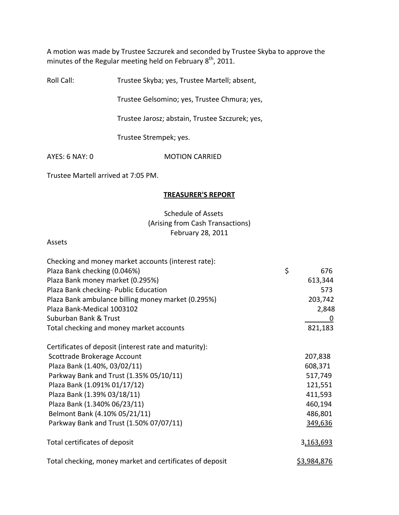A motion was made by Trustee Szczurek and seconded by Trustee Skyba to approve the minutes of the Regular meeting held on February  $8^{\text{th}}$ , 2011.

Roll Call: Trustee Skyba; yes, Trustee Martell; absent,

Trustee Gelsomino; yes, Trustee Chmura; yes,

Trustee Jarosz; abstain, Trustee Szczurek; yes,

Trustee Strempek; yes.

AYES: 6 NAY: 0 MOTION CARRIED

Trustee Martell arrived at 7:05 PM.

## **TREASURER'S REPORT**

# Schedule of Assets (Arising from Cash Transactions) February 28, 2011

#### Assets

| Checking and money market accounts (interest rate):      |                    |
|----------------------------------------------------------|--------------------|
| Plaza Bank checking (0.046%)                             | \$<br>676          |
| Plaza Bank money market (0.295%)                         | 613,344            |
| Plaza Bank checking- Public Education                    | 573                |
| Plaza Bank ambulance billing money market (0.295%)       | 203,742            |
| Plaza Bank-Medical 1003102                               | 2,848              |
| Suburban Bank & Trust                                    | 0                  |
| Total checking and money market accounts                 | 821,183            |
| Certificates of deposit (interest rate and maturity):    |                    |
| Scottrade Brokerage Account                              | 207,838            |
| Plaza Bank (1.40%, 03/02/11)                             | 608,371            |
| Parkway Bank and Trust (1.35% 05/10/11)                  | 517,749            |
| Plaza Bank (1.091% 01/17/12)                             | 121,551            |
| Plaza Bank (1.39% 03/18/11)                              | 411,593            |
| Plaza Bank (1.340% 06/23/11)                             | 460,194            |
| Belmont Bank (4.10% 05/21/11)                            | 486,801            |
| Parkway Bank and Trust (1.50% 07/07/11)                  | 349,636            |
| Total certificates of deposit                            | 3,163,693          |
| Total checking, money market and certificates of deposit | <u>\$3,984,876</u> |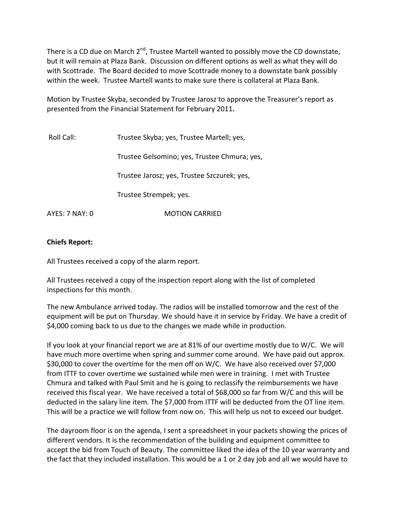There is a CD due on March 2<sup>nd</sup>, Trustee Martell wanted to possibly move the CD downstate, but it will remain at Plaza Bank. Discussion on different options as well as what they will do with Scottrade. The Board decided to move Scottrade money to a downstate bank possibly within the week. Trustee Martell wants to make sure there is collateral at Plaza Bank.

Motion by Trustee Skyba, seconded by Trustee Jarosz to approve the Treasurer's report as presented from the Financial Statement for February 2011**.**

| Roll Call:     | Trustee Skyba; yes, Trustee Martell; yes,    |  |  |
|----------------|----------------------------------------------|--|--|
|                | Trustee Gelsomino; yes, Trustee Chmura; yes, |  |  |
|                | Trustee Jarosz; yes, Trustee Szczurek; yes,  |  |  |
|                | Trustee Strempek; yes.                       |  |  |
| AYES: 7 NAY: 0 | <b>MOTION CARRIED</b>                        |  |  |

## **Chiefs Report:**

All Trustees received a copy of the alarm report.

All Trustees received a copy of the inspection report along with the list of completed inspections for this month.

The new Ambulance arrived today. The radios will be installed tomorrow and the rest of the equipment will be put on Thursday. We should have it in service by Friday. We have a credit of \$4,000 coming back to us due to the changes we made while in production.

If you look at your financial report we are at 81% of our overtime mostly due to W/C. We will have much more overtime when spring and summer come around. We have paid out approx. \$30,000 to cover the overtime for the men off on W/C. We have also received over \$7,000 from ITTF to cover overtime we sustained while men were in training. I met with Trustee Chmura and talked with Paul Smit and he is going to reclassify the reimbursements we have received this fiscal year. We have received a total of \$68,000 so far from W/C and this will be deducted in the salary line item. The \$7,000 from ITTF will be deducted from the OT line item. This will be a practice we will follow from now on. This will help us not to exceed our budget.

The dayroom floor is on the agenda, I sent a spreadsheet in your packets showing the prices of different vendors. It is the recommendation of the building and equipment committee to accept the bid from Touch of Beauty. The committee liked the idea of the 10 year warranty and the fact that they included installation. This would be a 1 or 2 day job and all we would have to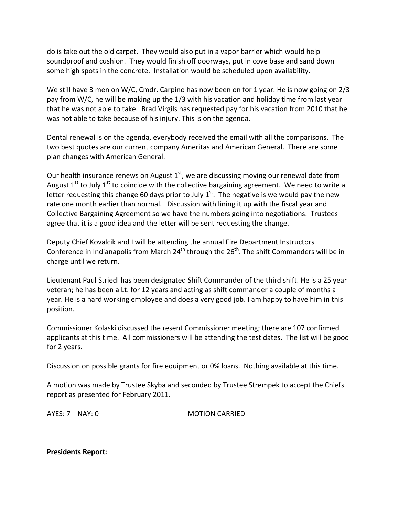do is take out the old carpet. They would also put in a vapor barrier which would help soundproof and cushion. They would finish off doorways, put in cove base and sand down some high spots in the concrete. Installation would be scheduled upon availability.

We still have 3 men on W/C, Cmdr. Carpino has now been on for 1 year. He is now going on 2/3 pay from W/C, he will be making up the 1/3 with his vacation and holiday time from last year that he was not able to take. Brad Virgils has requested pay for his vacation from 2010 that he was not able to take because of his injury. This is on the agenda.

Dental renewal is on the agenda, everybody received the email with all the comparisons. The two best quotes are our current company Ameritas and American General. There are some plan changes with American General.

Our health insurance renews on August  $1<sup>st</sup>$ , we are discussing moving our renewal date from August 1<sup>st</sup> to July 1<sup>st</sup> to coincide with the collective bargaining agreement. We need to write a letter requesting this change 60 days prior to July  $1^{st}$ . The negative is we would pay the new rate one month earlier than normal. Discussion with lining it up with the fiscal year and Collective Bargaining Agreement so we have the numbers going into negotiations. Trustees agree that it is a good idea and the letter will be sent requesting the change.

Deputy Chief Kovalcik and I will be attending the annual Fire Department Instructors Conference in Indianapolis from March 24<sup>th</sup> through the 26<sup>th</sup>. The shift Commanders will be in charge until we return.

Lieutenant Paul Striedl has been designated Shift Commander of the third shift. He is a 25 year veteran; he has been a Lt. for 12 years and acting as shift commander a couple of months a year. He is a hard working employee and does a very good job. I am happy to have him in this position.

Commissioner Kolaski discussed the resent Commissioner meeting; there are 107 confirmed applicants at this time. All commissioners will be attending the test dates. The list will be good for 2 years.

Discussion on possible grants for fire equipment or 0% loans. Nothing available at this time.

A motion was made by Trustee Skyba and seconded by Trustee Strempek to accept the Chiefs report as presented for February 2011.

AYES: 7 NAY: 0 MOTION CARRIED

**Presidents Report:**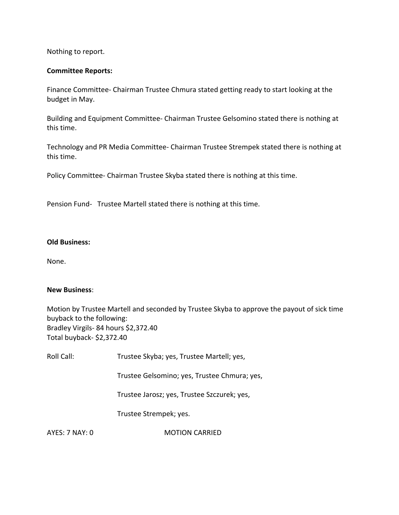Nothing to report.

## **Committee Reports:**

Finance Committee‐ Chairman Trustee Chmura stated getting ready to start looking at the budget in May.

Building and Equipment Committee‐ Chairman Trustee Gelsomino stated there is nothing at this time.

Technology and PR Media Committee‐ Chairman Trustee Strempek stated there is nothing at this time.

Policy Committee‐ Chairman Trustee Skyba stated there is nothing at this time.

Pension Fund- Trustee Martell stated there is nothing at this time.

## **Old Business:**

None.

#### **New Business**:

Motion by Trustee Martell and seconded by Trustee Skyba to approve the payout of sick time buyback to the following: Bradley Virgils‐ 84 hours \$2,372.40 Total buyback‐ \$2,372.40

Roll Call: Trustee Skyba; yes, Trustee Martell; yes, Trustee Gelsomino; yes, Trustee Chmura; yes, Trustee Jarosz; yes, Trustee Szczurek; yes, Trustee Strempek; yes.

AYES: 7 NAY: 0 **MOTION CARRIED**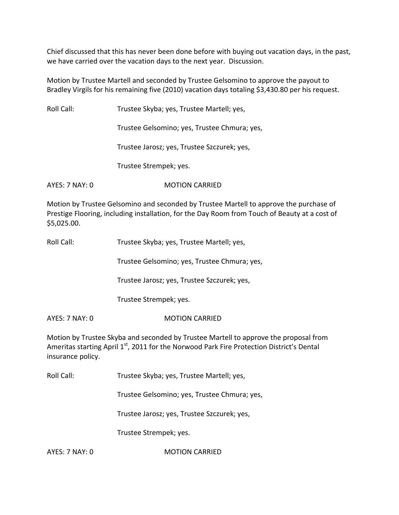Chief discussed that this has never been done before with buying out vacation days, in the past, we have carried over the vacation days to the next year. Discussion.

Motion by Trustee Martell and seconded by Trustee Gelsomino to approve the payout to Bradley Virgils for his remaining five (2010) vacation days totaling \$3,430.80 per his request.

Roll Call: Trustee Skyba; yes, Trustee Martell; yes, Trustee Gelsomino; yes, Trustee Chmura; yes, Trustee Jarosz; yes, Trustee Szczurek; yes, Trustee Strempek; yes. AYES: 7 NAY: 0 MOTION CARRIED

Motion by Trustee Gelsomino and seconded by Trustee Martell to approve the purchase of Prestige Flooring, including installation, for the Day Room from Touch of Beauty at a cost of \$5,025.00.

| Roll Call: | Trustee Skyba; yes, Trustee Martell; yes, |
|------------|-------------------------------------------|
|------------|-------------------------------------------|

Trustee Gelsomino; yes, Trustee Chmura; yes,

Trustee Jarosz; yes, Trustee Szczurek; yes,

Trustee Strempek; yes.

AYES: 7 NAY: 0 **MOTION CARRIED** 

Motion by Trustee Skyba and seconded by Trustee Martell to approve the proposal from Ameritas starting April 1<sup>st</sup>, 2011 for the Norwood Park Fire Protection District's Dental insurance policy.

Roll Call: Trustee Skyba; yes, Trustee Martell; yes,

Trustee Gelsomino; yes, Trustee Chmura; yes,

Trustee Jarosz; yes, Trustee Szczurek; yes,

Trustee Strempek; yes.

AYES: 7 NAY: 0 **MOTION CARRIED**